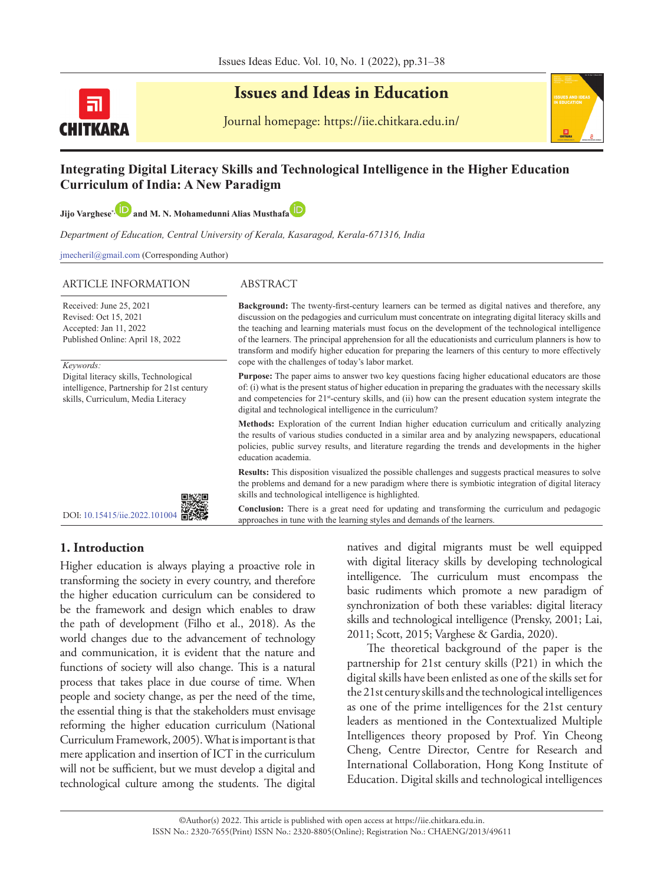

# **Issues and Ideas in Education**

Journal homepage: https://iie.chitkara.edu.in/

## **Integrating Digital Literacy Skills and Technological Intelligence in the Higher Education Curriculum of India: A New Paradigm**

**Jijo V[a](https://orcid.org/0000-0003-3752-0301)rghese<sup>\*, 1</sup>2 and M. N. Mohamedunni Alias Musthafa** 

*Department of Education, Central University of Kerala, Kasaragod, Kerala-671316, India*

jmecheril@gmail.com (Corresponding Author)

#### ARTICLE INFORMATION ABSTRACT

Received: June 25, 2021 Revised: Oct 15, 2021 Accepted: Jan 11, 2022 Published Online: April 18, 2022

*Keywords:*

Digital literacy skills, Technological intelligence, Partnership for 21st century skills, Curriculum, Media Literacy



**Background:** The twenty-first-century learners can be termed as digital natives and therefore, any discussion on the pedagogies and curriculum must concentrate on integrating digital literacy skills and the teaching and learning materials must focus on the development of the technological intelligence of the learners. The principal apprehension for all the educationists and curriculum planners is how to transform and modify higher education for preparing the learners of this century to more effectively cope with the challenges of today's labor market.

**Purpose:** The paper aims to answer two key questions facing higher educational educators are those of: (i) what is the present status of higher education in preparing the graduates with the necessary skills and competencies for 21st-century skills, and (ii) how can the present education system integrate the digital and technological intelligence in the curriculum?

**Methods:** Exploration of the current Indian higher education curriculum and critically analyzing the results of various studies conducted in a similar area and by analyzing newspapers, educational policies, public survey results, and literature regarding the trends and developments in the higher education academia.

**Results:** This disposition visualized the possible challenges and suggests practical measures to solve the problems and demand for a new paradigm where there is symbiotic integration of digital literacy skills and technological intelligence is highlighted.

**Conclusion:** There is a great need for updating and transforming the curriculum and pedagogic approaches in tune with the learning styles and demands of the learners.

## **1. Introduction**

Higher education is always playing a proactive role in transforming the society in every country, and therefore the higher education curriculum can be considered to be the framework and design which enables to draw the path of development (Filho et al., 2018). As the world changes due to the advancement of technology and communication, it is evident that the nature and functions of society will also change. This is a natural process that takes place in due course of time. When people and society change, as per the need of the time, the essential thing is that the stakeholders must envisage reforming the higher education curriculum (National Curriculum Framework, 2005). What is important is that mere application and insertion of ICT in the curriculum will not be sufficient, but we must develop a digital and technological culture among the students. The digital natives and digital migrants must be well equipped with digital literacy skills by developing technological intelligence. The curriculum must encompass the basic rudiments which promote a new paradigm of synchronization of both these variables: digital literacy skills and technological intelligence (Prensky, 2001; Lai, 2011; Scott, 2015; Varghese & Gardia, 2020).

The theoretical background of the paper is the partnership for 21st century skills (P21) in which the digital skills have been enlisted as one of the skills set for the 21st century skills and the technological intelligences as one of the prime intelligences for the 21st century leaders as mentioned in the Contextualized Multiple Intelligences theory proposed by Prof. Yin Cheong Cheng, Centre Director, Centre for Research and International Collaboration, Hong Kong Institute of Education. Digital skills and technological intelligences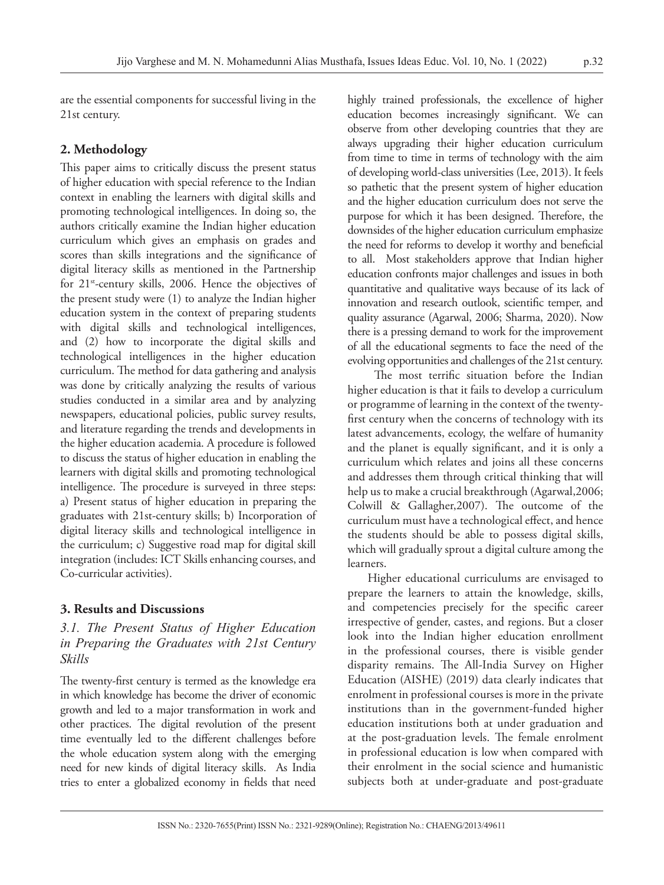are the essential components for successful living in the 21st century.

## **2. Methodology**

This paper aims to critically discuss the present status of higher education with special reference to the Indian context in enabling the learners with digital skills and promoting technological intelligences. In doing so, the authors critically examine the Indian higher education curriculum which gives an emphasis on grades and scores than skills integrations and the significance of digital literacy skills as mentioned in the Partnership for 21st-century skills, 2006. Hence the objectives of the present study were (1) to analyze the Indian higher education system in the context of preparing students with digital skills and technological intelligences, and (2) how to incorporate the digital skills and technological intelligences in the higher education curriculum. The method for data gathering and analysis was done by critically analyzing the results of various studies conducted in a similar area and by analyzing newspapers, educational policies, public survey results, and literature regarding the trends and developments in the higher education academia. A procedure is followed to discuss the status of higher education in enabling the learners with digital skills and promoting technological intelligence. The procedure is surveyed in three steps: a) Present status of higher education in preparing the graduates with 21st-century skills; b) Incorporation of digital literacy skills and technological intelligence in the curriculum; c) Suggestive road map for digital skill integration (includes: ICT Skills enhancing courses, and Co-curricular activities).

## **3. Results and Discussions**

## *3.1. The Present Status of Higher Education in Preparing the Graduates with 21st Century Skills*

The twenty-first century is termed as the knowledge era in which knowledge has become the driver of economic growth and led to a major transformation in work and other practices. The digital revolution of the present time eventually led to the different challenges before the whole education system along with the emerging need for new kinds of digital literacy skills. As India tries to enter a globalized economy in fields that need highly trained professionals, the excellence of higher education becomes increasingly significant. We can observe from other developing countries that they are always upgrading their higher education curriculum from time to time in terms of technology with the aim of developing world-class universities (Lee, 2013). It feels so pathetic that the present system of higher education and the higher education curriculum does not serve the purpose for which it has been designed. Therefore, the downsides of the higher education curriculum emphasize the need for reforms to develop it worthy and beneficial to all. Most stakeholders approve that Indian higher education confronts major challenges and issues in both quantitative and qualitative ways because of its lack of innovation and research outlook, scientific temper, and quality assurance (Agarwal, 2006; Sharma, 2020). Now there is a pressing demand to work for the improvement of all the educational segments to face the need of the evolving opportunities and challenges of the 21st century.

 The most terrific situation before the Indian higher education is that it fails to develop a curriculum or programme of learning in the context of the twentyfirst century when the concerns of technology with its latest advancements, ecology, the welfare of humanity and the planet is equally significant, and it is only a curriculum which relates and joins all these concerns and addresses them through critical thinking that will help us to make a crucial breakthrough (Agarwal,2006; Colwill & Gallagher,2007). The outcome of the curriculum must have a technological effect, and hence the students should be able to possess digital skills, which will gradually sprout a digital culture among the learners.

Higher educational curriculums are envisaged to prepare the learners to attain the knowledge, skills, and competencies precisely for the specific career irrespective of gender, castes, and regions. But a closer look into the Indian higher education enrollment in the professional courses, there is visible gender disparity remains. The All-India Survey on Higher Education (AISHE) (2019) data clearly indicates that enrolment in professional courses is more in the private institutions than in the government-funded higher education institutions both at under graduation and at the post-graduation levels. The female enrolment in professional education is low when compared with their enrolment in the social science and humanistic subjects both at under-graduate and post-graduate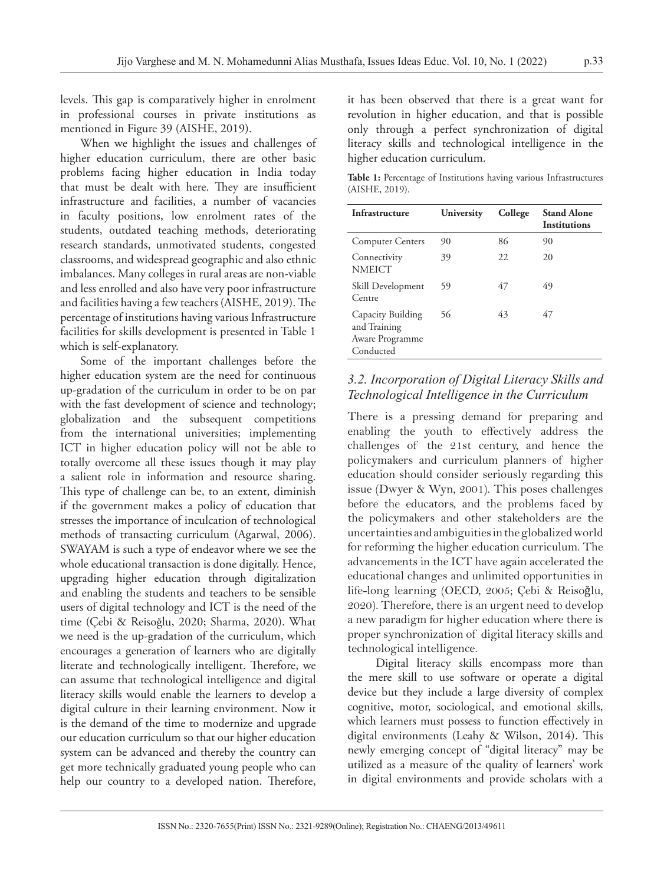levels. This gap is comparatively higher in enrolment in professional courses in private institutions as mentioned in Figure 39 (AISHE, 2019).

When we highlight the issues and challenges of higher education curriculum, there are other basic problems facing higher education in India today that must be dealt with here. They are insufficient infrastructure and facilities, a number of vacancies in faculty positions, low enrolment rates of the students, outdated teaching methods, deteriorating research standards, unmotivated students, congested classrooms, and widespread geographic and also ethnic imbalances. Many colleges in rural areas are non-viable and less enrolled and also have very poor infrastructure and facilities having a few teachers (AISHE, 2019). The percentage of institutions having various Infrastructure facilities for skills development is presented in Table 1 which is self-explanatory.

Some of the important challenges before the higher education system are the need for continuous up-gradation of the curriculum in order to be on par with the fast development of science and technology; globalization and the subsequent competitions from the international universities; implementing ICT in higher education policy will not be able to totally overcome all these issues though it may play a salient role in information and resource sharing. This type of challenge can be, to an extent, diminish if the government makes a policy of education that stresses the importance of inculcation of technological methods of transacting curriculum (Agarwal, 2006). SWAYAM is such a type of endeavor where we see the whole educational transaction is done digitally. Hence, upgrading higher education through digitalization and enabling the students and teachers to be sensible users of digital technology and ICT is the need of the time (Çebi & Reisoğlu, 2020; Sharma, 2020). What we need is the up-gradation of the curriculum, which encourages a generation of learners who are digitally literate and technologically intelligent. Therefore, we can assume that technological intelligence and digital literacy skills would enable the learners to develop a digital culture in their learning environment. Now it is the demand of the time to modernize and upgrade our education curriculum so that our higher education system can be advanced and thereby the country can get more technically graduated young people who can help our country to a developed nation. Therefore,

it has been observed that there is a great want for revolution in higher education, and that is possible only through a perfect synchronization of digital literacy skills and technological intelligence in the higher education curriculum.

**Table 1:** Percentage of Institutions having various Infrastructures (AISHE, 2019).

| Infrastructure                                                    | University | College | <b>Stand Alone</b><br><b>Institutions</b> |
|-------------------------------------------------------------------|------------|---------|-------------------------------------------|
| <b>Computer Centers</b>                                           | 90         | 86      | 90                                        |
| Connectivity<br><b>NMEICT</b>                                     | 39         | 22      | 20                                        |
| Skill Development<br>Centre                                       | 59         | 47      | 49                                        |
| Capacity Building<br>and Training<br>Aware Programme<br>Conducted | 56         | 43      | 47                                        |

## *3.2. Incorporation of Digital Literacy Skills and Technological Intelligence in the Curriculum*

There is a pressing demand for preparing and enabling the youth to effectively address the challenges of the 21st century, and hence the policymakers and curriculum planners of higher education should consider seriously regarding this issue (Dwyer & Wyn, 2001). This poses challenges before the educators, and the problems faced by the policymakers and other stakeholders are the uncertainties and ambiguities in the globalized world for reforming the higher education curriculum. The advancements in the ICT have again accelerated the educational changes and unlimited opportunities in life-long learning (OECD, 2005; Çebi & Reisoğlu, 2020). Therefore, there is an urgent need to develop a new paradigm for higher education where there is proper synchronization of digital literacy skills and technological intelligence.

 Digital literacy skills encompass more than the mere skill to use software or operate a digital device but they include a large diversity of complex cognitive, motor, sociological, and emotional skills, which learners must possess to function effectively in digital environments (Leahy & Wilson, 2014). This newly emerging concept of "digital literacy" may be utilized as a measure of the quality of learners' work in digital environments and provide scholars with a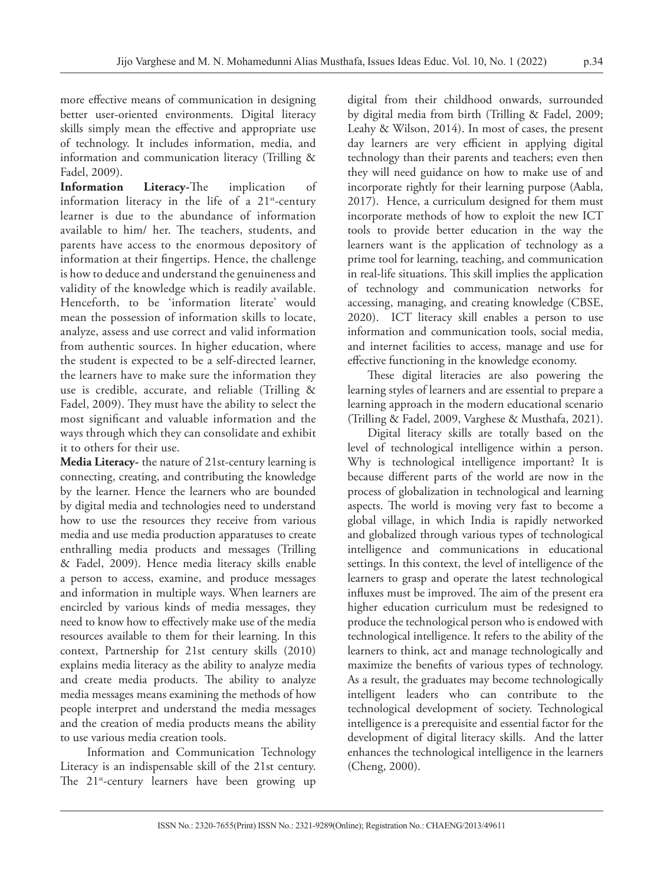more effective means of communication in designing better user-oriented environments. Digital literacy skills simply mean the effective and appropriate use of technology. It includes information, media, and information and communication literacy (Trilling &

Fadel, 2009).<br>**Information Literacy-**The implication of information literacy in the life of a  $21<sup>st</sup>$ -century learner is due to the abundance of information available to him/ her. The teachers, students, and parents have access to the enormous depository of information at their fingertips. Hence, the challenge is how to deduce and understand the genuineness and validity of the knowledge which is readily available. Henceforth, to be 'information literate' would mean the possession of information skills to locate, analyze, assess and use correct and valid information from authentic sources. In higher education, where the student is expected to be a self-directed learner, the learners have to make sure the information they use is credible, accurate, and reliable (Trilling & Fadel, 2009). They must have the ability to select the most significant and valuable information and the ways through which they can consolidate and exhibit it to others for their use.

**Media Literacy-** the nature of 21st-century learning is connecting, creating, and contributing the knowledge by the learner. Hence the learners who are bounded by digital media and technologies need to understand how to use the resources they receive from various media and use media production apparatuses to create enthralling media products and messages (Trilling & Fadel, 2009). Hence media literacy skills enable a person to access, examine, and produce messages and information in multiple ways. When learners are encircled by various kinds of media messages, they need to know how to effectively make use of the media resources available to them for their learning. In this context, Partnership for 21st century skills (2010) explains media literacy as the ability to analyze media and create media products. The ability to analyze media messages means examining the methods of how people interpret and understand the media messages and the creation of media products means the ability to use various media creation tools.

 Information and Communication Technology Literacy is an indispensable skill of the 21st century. The 21<sup>st</sup>-century learners have been growing up

digital from their childhood onwards, surrounded by digital media from birth (Trilling & Fadel, 2009; Leahy & Wilson, 2014). In most of cases, the present day learners are very efficient in applying digital technology than their parents and teachers; even then they will need guidance on how to make use of and incorporate rightly for their learning purpose (Aabla, 2017). Hence, a curriculum designed for them must incorporate methods of how to exploit the new ICT tools to provide better education in the way the learners want is the application of technology as a prime tool for learning, teaching, and communication in real-life situations. This skill implies the application of technology and communication networks for accessing, managing, and creating knowledge (CBSE, 2020). ICT literacy skill enables a person to use information and communication tools, social media, and internet facilities to access, manage and use for effective functioning in the knowledge economy.

These digital literacies are also powering the learning styles of learners and are essential to prepare a learning approach in the modern educational scenario (Trilling & Fadel, 2009, Varghese & Musthafa, 2021).

Digital literacy skills are totally based on the level of technological intelligence within a person. Why is technological intelligence important? It is because different parts of the world are now in the process of globalization in technological and learning aspects. The world is moving very fast to become a global village, in which India is rapidly networked and globalized through various types of technological intelligence and communications in educational settings. In this context, the level of intelligence of the learners to grasp and operate the latest technological influxes must be improved. The aim of the present era higher education curriculum must be redesigned to produce the technological person who is endowed with technological intelligence. It refers to the ability of the learners to think, act and manage technologically and maximize the benefits of various types of technology. As a result, the graduates may become technologically intelligent leaders who can contribute to the technological development of society. Technological intelligence is a prerequisite and essential factor for the development of digital literacy skills. And the latter enhances the technological intelligence in the learners (Cheng, 2000).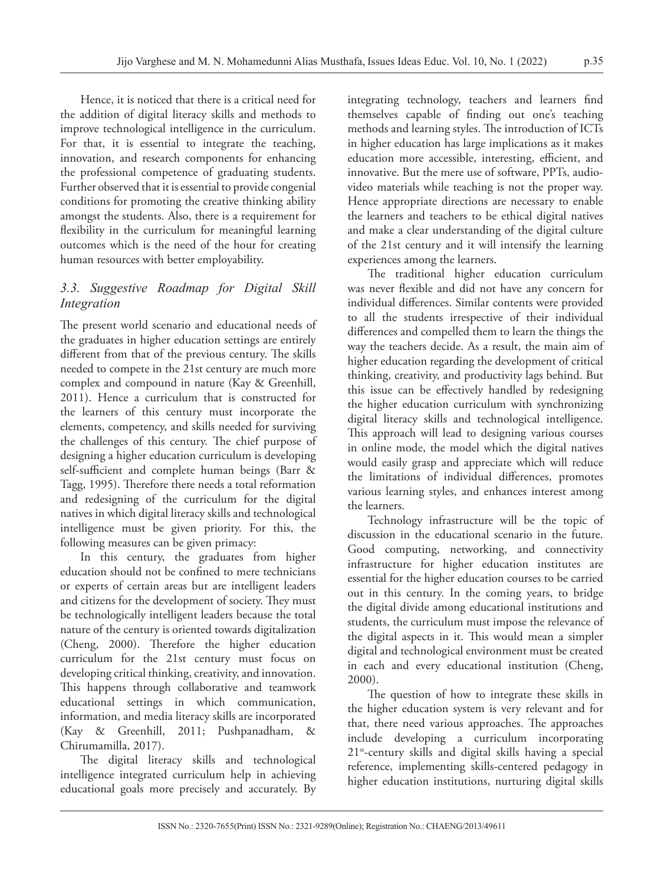Hence, it is noticed that there is a critical need for the addition of digital literacy skills and methods to improve technological intelligence in the curriculum. For that, it is essential to integrate the teaching, innovation, and research components for enhancing the professional competence of graduating students. Further observed that it is essential to provide congenial conditions for promoting the creative thinking ability amongst the students. Also, there is a requirement for flexibility in the curriculum for meaningful learning outcomes which is the need of the hour for creating human resources with better employability.

## *3.3. Suggestive Roadmap for Digital Skill Integration*

The present world scenario and educational needs of the graduates in higher education settings are entirely different from that of the previous century. The skills needed to compete in the 21st century are much more complex and compound in nature (Kay & Greenhill, 2011). Hence a curriculum that is constructed for the learners of this century must incorporate the elements, competency, and skills needed for surviving the challenges of this century. The chief purpose of designing a higher education curriculum is developing self-sufficient and complete human beings (Barr & Tagg, 1995). Therefore there needs a total reformation and redesigning of the curriculum for the digital natives in which digital literacy skills and technological intelligence must be given priority. For this, the following measures can be given primacy:

In this century, the graduates from higher education should not be confined to mere technicians or experts of certain areas but are intelligent leaders and citizens for the development of society. They must be technologically intelligent leaders because the total nature of the century is oriented towards digitalization (Cheng, 2000). Therefore the higher education curriculum for the 21st century must focus on developing critical thinking, creativity, and innovation. This happens through collaborative and teamwork educational settings in which communication, information, and media literacy skills are incorporated (Kay & Greenhill, 2011; Pushpanadham, & Chirumamilla, 2017).

The digital literacy skills and technological intelligence integrated curriculum help in achieving educational goals more precisely and accurately. By integrating technology, teachers and learners find themselves capable of finding out one's teaching methods and learning styles. The introduction of ICTs in higher education has large implications as it makes education more accessible, interesting, efficient, and innovative. But the mere use of software, PPTs, audiovideo materials while teaching is not the proper way. Hence appropriate directions are necessary to enable the learners and teachers to be ethical digital natives and make a clear understanding of the digital culture of the 21st century and it will intensify the learning experiences among the learners.

The traditional higher education curriculum was never flexible and did not have any concern for individual differences. Similar contents were provided to all the students irrespective of their individual differences and compelled them to learn the things the way the teachers decide. As a result, the main aim of higher education regarding the development of critical thinking, creativity, and productivity lags behind. But this issue can be effectively handled by redesigning the higher education curriculum with synchronizing digital literacy skills and technological intelligence. This approach will lead to designing various courses in online mode, the model which the digital natives would easily grasp and appreciate which will reduce the limitations of individual differences, promotes various learning styles, and enhances interest among the learners.

Technology infrastructure will be the topic of discussion in the educational scenario in the future. Good computing, networking, and connectivity infrastructure for higher education institutes are essential for the higher education courses to be carried out in this century. In the coming years, to bridge the digital divide among educational institutions and students, the curriculum must impose the relevance of the digital aspects in it. This would mean a simpler digital and technological environment must be created in each and every educational institution (Cheng, 2000).

The question of how to integrate these skills in the higher education system is very relevant and for that, there need various approaches. The approaches include developing a curriculum incorporating 21st-century skills and digital skills having a special reference, implementing skills-centered pedagogy in higher education institutions, nurturing digital skills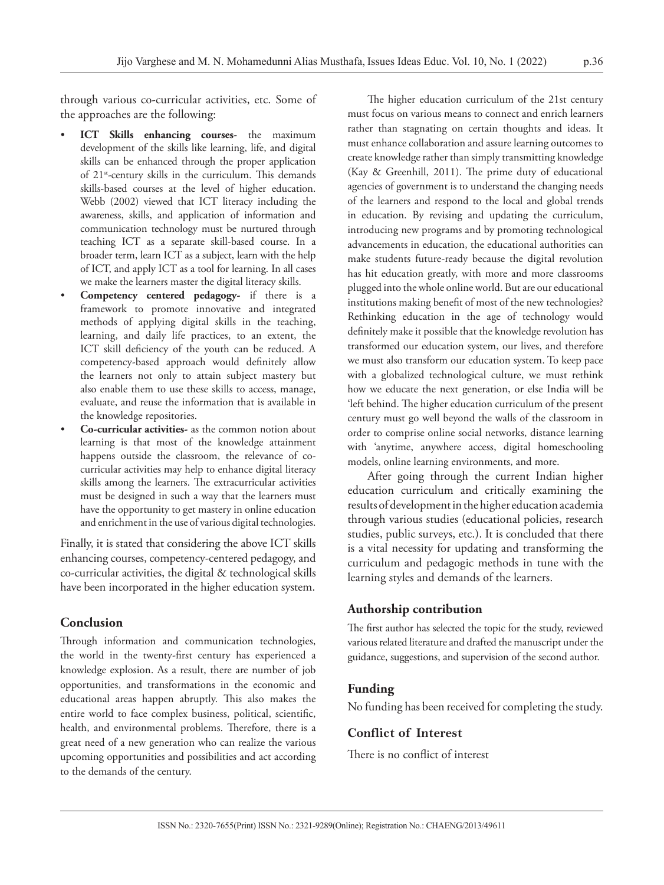through various co-curricular activities, etc. Some of the approaches are the following:

- **ICT Skills enhancing courses-** the maximum development of the skills like learning, life, and digital skills can be enhanced through the proper application of 21<sup>st</sup>-century skills in the curriculum. This demands skills-based courses at the level of higher education. Webb (2002) viewed that ICT literacy including the awareness, skills, and application of information and communication technology must be nurtured through teaching ICT as a separate skill-based course. In a broader term, learn ICT as a subject, learn with the help of ICT, and apply ICT as a tool for learning. In all cases we make the learners master the digital literacy skills.
- **Competency centered pedagogy-** if there is a framework to promote innovative and integrated methods of applying digital skills in the teaching, learning, and daily life practices, to an extent, the ICT skill deficiency of the youth can be reduced. A competency-based approach would definitely allow the learners not only to attain subject mastery but also enable them to use these skills to access, manage, evaluate, and reuse the information that is available in the knowledge repositories.
- **Co-curricular activities-** as the common notion about learning is that most of the knowledge attainment happens outside the classroom, the relevance of cocurricular activities may help to enhance digital literacy skills among the learners. The extracurricular activities must be designed in such a way that the learners must have the opportunity to get mastery in online education and enrichment in the use of various digital technologies.

Finally, it is stated that considering the above ICT skills enhancing courses, competency-centered pedagogy, and co-curricular activities, the digital & technological skills have been incorporated in the higher education system.

#### **Conclusion**

Through information and communication technologies, the world in the twenty-first century has experienced a knowledge explosion. As a result, there are number of job opportunities, and transformations in the economic and educational areas happen abruptly. This also makes the entire world to face complex business, political, scientific, health, and environmental problems. Therefore, there is a great need of a new generation who can realize the various upcoming opportunities and possibilities and act according to the demands of the century.

The higher education curriculum of the 21st century must focus on various means to connect and enrich learners rather than stagnating on certain thoughts and ideas. It must enhance collaboration and assure learning outcomes to create knowledge rather than simply transmitting knowledge (Kay & Greenhill, 2011). The prime duty of educational agencies of government is to understand the changing needs of the learners and respond to the local and global trends in education. By revising and updating the curriculum, introducing new programs and by promoting technological advancements in education, the educational authorities can make students future-ready because the digital revolution has hit education greatly, with more and more classrooms plugged into the whole online world. But are our educational institutions making benefit of most of the new technologies? Rethinking education in the age of technology would definitely make it possible that the knowledge revolution has transformed our education system, our lives, and therefore we must also transform our education system. To keep pace with a globalized technological culture, we must rethink how we educate the next generation, or else India will be 'left behind. The higher education curriculum of the present century must go well beyond the walls of the classroom in order to comprise online social networks, distance learning with 'anytime, anywhere access, digital homeschooling models, online learning environments, and more.

After going through the current Indian higher education curriculum and critically examining the results of development in the higher education academia through various studies (educational policies, research studies, public surveys, etc.). It is concluded that there is a vital necessity for updating and transforming the curriculum and pedagogic methods in tune with the learning styles and demands of the learners.

#### **Authorship contribution**

The first author has selected the topic for the study, reviewed various related literature and drafted the manuscript under the guidance, suggestions, and supervision of the second author.

#### **Funding**

No funding has been received for completing the study.

#### **Conflict of Interest**

There is no conflict of interest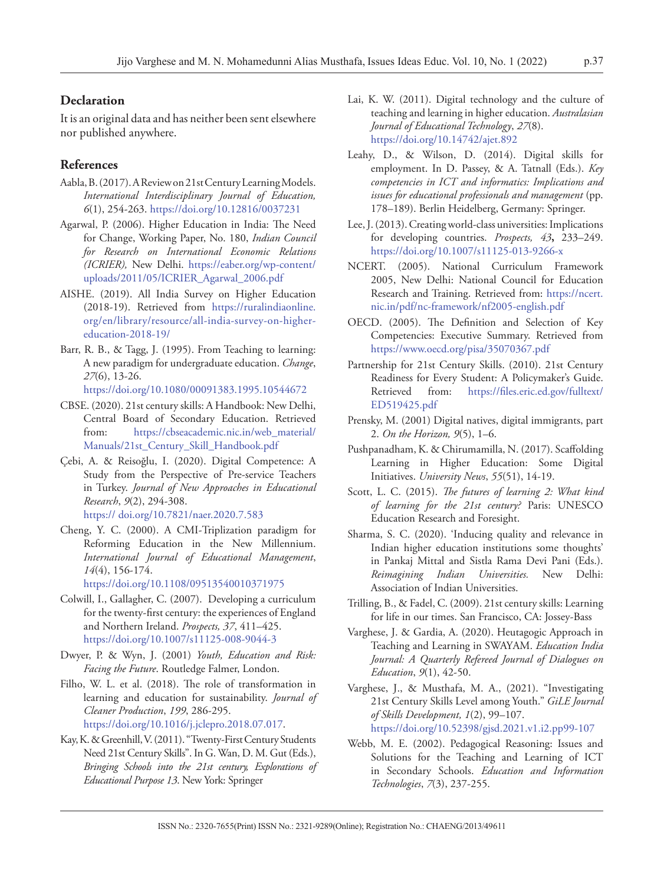#### **Declaration**

It is an original data and has neither been sent elsewhere nor published anywhere.

#### **References**

- Aabla, B. (2017). A Review on 21st Century Learning Models. *International Interdisciplinary Journal of Education, 6*(1), 254-263. https://doi.org/10.12816/0037231
- Agarwal, P. (2006). Higher Education in India: The Need for Change, Working Paper, No. 180, *Indian Council for Research on International Economic Relations (ICRIER),* New Delhi. [https://eaber.org/wp-content/](https://eaber.org/wp-content/uploads/2011/05/ICRIER_Agarwal_2006.pdf) [uploads/2011/05/ICRIER\\_Agarwal\\_2006.pdf](https://eaber.org/wp-content/uploads/2011/05/ICRIER_Agarwal_2006.pdf)
- AISHE. (2019). All India Survey on Higher Education (2018-19). Retrieved from [https://ruralindiaonline.](https://ruralindiaonline.org/en/library/resource/all-india-survey-on-higher-education-2018-19/) [org/en/library/resource/all-india-survey-on-higher](https://ruralindiaonline.org/en/library/resource/all-india-survey-on-higher-education-2018-19/)[education-2018-19/](https://ruralindiaonline.org/en/library/resource/all-india-survey-on-higher-education-2018-19/)
- Barr, R. B., & Tagg, J. (1995). From Teaching to learning: A new paradigm for undergraduate education. *Change*, *27*(6), 13-26. https://doi.org/10.1080/00091383.1995.10544672
- CBSE. (2020). 21st century skills: A Handbook: New Delhi, Central Board of Secondary Education. Retrieved from: [https://cbseacademic.nic.in/web\\_material/](https://cbseacademic.nic.in/web_material/Manuals/21st_Century_Skill_Handbook.pdf) [Manuals/21st\\_Century\\_Skill\\_Handbook.pdf](https://cbseacademic.nic.in/web_material/Manuals/21st_Century_Skill_Handbook.pdf)
- Çebi, A. & Reisoğlu, I. (2020). Digital Competence: A Study from the Perspective of Pre-service Teachers in Turkey. *Journal of New Approaches in Educational Research*, *9*(2), 294-308. <https:// doi.org/10.7821/naer.2020.7.583>
- Cheng, Y. C. (2000). A CMI-Triplization paradigm for Reforming Education in the New Millennium. *International Journal of Educational Management*, *14*(4), 156-174.
	- https://doi.org/10.1108/09513540010371975
- Colwill, I., Gallagher, C. (2007). Developing a curriculum for the twenty-first century: the experiences of England and Northern Ireland. *Prospects, 37*, 411–425. <https://doi.org/10.1007/s11125-008-9044-3>
- Dwyer, P. & Wyn, J. (2001) *Youth, Education and Risk: Facing the Future*. Routledge Falmer, London.
- Filho, W. L. et al. (2018). The role of transformation in learning and education for sustainability. *Journal of Cleaner Production*, *199*, 286-295. [https://doi.org/10.1016/j.jclepro.2018.07.017.](https://doi.org/10.1016/j.jclepro.2018.07.017)
- Kay, K. & Greenhill, V. (2011). "Twenty-First Century Students Need 21st Century Skills". In G. Wan, D. M. Gut (Eds.), *Bringing Schools into the 21st century, Explorations of Educational Purpose 13*. New York: Springer
- Lai, K. W. (2011). Digital technology and the culture of teaching and learning in higher education. *Australasian Journal of Educational Technology*, *27*(8). <https://doi.org/10.14742/ajet.892>
- Leahy, D., & Wilson, D. (2014). Digital skills for employment. In D. Passey, & A. Tatnall (Eds.). *Key competencies in ICT and informatics: Implications and issues for educational professionals and management* (pp. 178–189). Berlin Heidelberg, Germany: Springer.
- Lee, J. (2013). Creating world-class universities: Implications for developing countries. *Prospects, 43***,**  233–249. <https://doi.org/10.1007/s11125-013-9266-x>
- NCERT. (2005). National Curriculum Framework 2005, New Delhi: National Council for Education Research and Training. Retrieved from: [https://ncert.](https://ncert.nic.in/pdf/nc-framework/nf2005-english.pdf) [nic.in/pdf/nc-framework/nf2005-english.pdf](https://ncert.nic.in/pdf/nc-framework/nf2005-english.pdf)
- OECD. (2005). The Definition and Selection of Key Competencies: Executive Summary. Retrieved from https://www.oecd.org/pisa/35070367.pdf
- Partnership for 21st Century Skills. (2010). 21st Century Readiness for Every Student: A Policymaker's Guide. Retrieved from: [https://files.eric.ed.gov/fulltext/](https://files.eric.ed.gov/fulltext/ED519425.pdf) [ED519425.pdf](https://files.eric.ed.gov/fulltext/ED519425.pdf)
- Prensky, M. (2001) Digital natives, digital immigrants, part 2. *On the Horizon, 9*(5), 1–6.
- Pushpanadham, K. & Chirumamilla, N. (2017). Scaffolding Learning in Higher Education: Some Digital Initiatives. *University News*, *55*(51), 14-19.
- Scott, L. C. (2015). *The futures of learning 2: What kind of learning for the 21st century?* Paris: UNESCO Education Research and Foresight.
- Sharma, S. C. (2020). 'Inducing quality and relevance in Indian higher education institutions some thoughts' in Pankaj Mittal and Sistla Rama Devi Pani (Eds.). *Reimagining Indian Universities.* New Delhi: Association of Indian Universities.
- Trilling, B., & Fadel, C. (2009). 21st century skills: Learning for life in our times. San Francisco, CA: Jossey-Bass
- Varghese, J. & Gardia, A. (2020). Heutagogic Approach in Teaching and Learning in SWAYAM. *Education India Journal: A Quarterly Refereed Journal of Dialogues on Education*, *9*(1), 42-50.
- Varghese, J., & Musthafa, M. A., (2021). "Investigating 21st Century Skills Level among Youth." *GiLE Journal of Skills Development, 1*(2), 99–107. <https://doi.org/10.52398/gjsd.2021.v1.i2.pp99-107>
- Webb, M. E. (2002). Pedagogical Reasoning: Issues and Solutions for the Teaching and Learning of ICT in Secondary Schools. *Education and Information Technologies*, *7*(3), 237-255.